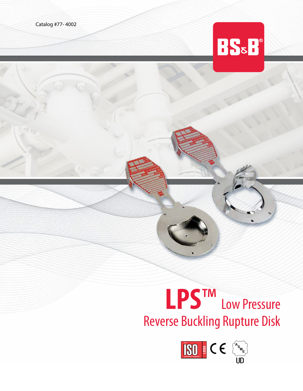Catalog #77- 4002



## **LPS**™ Low Pressure Reverse Buckling Rupture Disk

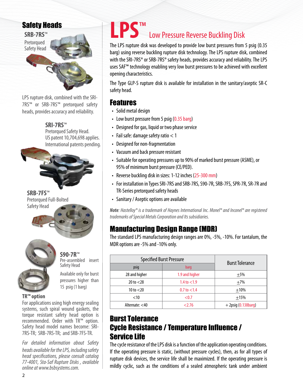## Safety Heads



LPS rupture disk, combined with the SRI-7RS™ or SRB-7RS™ pretorqued safety heads, provides accuracy and reliability.

> **SRI-7RS**™ Pretorqued Safety Head. US patent 10,704,698 applies. International patents pending.



**SRB-7FS**™

Safety Head

Pretorqued Full-Bolted

**S90-7R™**<br>Pre-assembled insert Safety Head

Available only for burst pressures higher than 15 psig (1 barg)

#### **TR™ option**

For applications using high energy sealing systems, such spiral wound gaskets, the torque resistant safety head option is recommended. Order with TR™ option. Safety head model names become: SRI-7RS-TR; SRB-7RS-TR; and SRB-7FS-TR.

*For detailed information about Safety heads available for the LPS, including safety head specifications, please consult catalog 77-4001, Sta-Saf Rupture Disks , available online at www.bsbsystems.com.* 

## **LPS**™ Low Pressure Reverse Buckling Disk

The LPS rupture disk was developed to provide low burst pressures from 5 psig (0.35 barg) using reverse buckling rupture disk technology. The LPS rupture disk, combined with the SRI-7RS<sup>®</sup> or SRB-7RS<sup>®</sup> safety heads, provides accuracy and reliability. The LPS uses SAF™ technology enabling very low burst pressures to be achieved with excellent opening characteristics.

The Type GLP-S rupture disk is available for installation in the sanitary/aseptic SR-C safety head.

## Features

- Solid metal design
- Low burst pressure from 5 psig (0.35 barg)
- Designed for gas, liquid or two phase service
- Fail safe: damage safety ratio < 1
- Designed for non-fragmentation
- Vacuum and back pressure resistant
- Suitable for operating pressures up to 90% of marked burst pressure (ASME), or 95% of minimum burst pressure (CE/PED).
- Reverse buckling disk in sizes: 1-12 inches (25-300 mm)
- For installation in Types SRI-7RS and SRB-7RS, S90-7R, SRB-7FS, SPR-7R, SR-7R and TR-Series pretorqued safety heads
- Sanitary / Aseptic options are available

*Note: Hastelloy® is a trademark of Haynes International Inc. Monel® and Inconel® are registered trademarks of Special Metals Corporation and Its subsidiaries.*

## Manufacturing Design Range (MDR)

The standard LPS manufacturing design ranges are 0%, -5%, -10%. For tantalum, the MDR options are -5% and -10% only.

| <b>Specified Burst Pressure</b> | <b>Burst Tolerance</b> |                        |  |  |  |  |  |  |
|---------------------------------|------------------------|------------------------|--|--|--|--|--|--|
| psig                            | <b>barg</b>            |                        |  |  |  |  |  |  |
| 28 and higher                   | 1.9 and higher         | $+5%$                  |  |  |  |  |  |  |
| 20 to < 28                      | $1.4$ to $< 1.9$       | $\pm$ 7%               |  |  |  |  |  |  |
| 10 to $<$ 20                    | $0.7$ to $< 1.4$       | $+10%$                 |  |  |  |  |  |  |
| $<$ 10                          | < 0.7                  | $+15%$                 |  |  |  |  |  |  |
| Alternate: <40                  | 2.76                   | $+ 2$ psig (0.138barg) |  |  |  |  |  |  |

## Burst Tolerance Cycle Resistance / Temperature Influence / Service Life

The cycle resistance of the LPS disk is a function of the application operating conditions. If the operating pressure is static, (without pressure cycles), then, as for all types of rupture disk devices, the service life shall be maximized. If the operating pressure is mildly cyclic, such as the conditions of a sealed atmospheric tank under ambient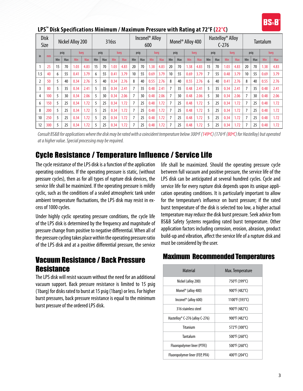|     | Disk<br>Size | Inconel <sup>®</sup> Alloy<br>Nickel Alloy 200<br>316ss<br>600 |     |      |            |      |     |      | Monel <sup>®</sup> Alloy 400 |      | Hastelloy <sup>®</sup> Alloy<br>$C-276$ |      |      |      | Tantalum |             |            |                |     |      |            |                 |     |      |      |
|-----|--------------|----------------------------------------------------------------|-----|------|------------|------|-----|------|------------------------------|------|-----------------------------------------|------|------|------|----------|-------------|------------|----------------|-----|------|------------|-----------------|-----|------|------|
|     |              | psig                                                           |     | barg |            | psig |     | barg |                              | psig |                                         | barg |      | psig |          | <b>barg</b> |            | psig           |     | barg |            | psig            |     | barg |      |
| in  | mm           | Min                                                            | Max | Min  | <b>Max</b> | Min  | Max | Min  | Max                          | Min  | Max                                     | Min  | Max  | Min  | Max      | Min         | <b>Max</b> | Min            | Max | Min  | <b>Max</b> | Min             | Max | Min  | Max  |
|     | 25           | 15                                                             | 70  | 1.03 | 4.83       | 15   | 70  | 1.03 | 4.83                         | 20   | 70                                      | 1.38 | 4.83 | 20   | 70       | 1.38        | 4.83       | 15             | 70  | 1.03 | 4.83       | 20              | 70  | 1.38 | 4.83 |
| 1.5 | 40           | 6                                                              | 55  | 0.41 | 3.79       | 6    | 55  | 0.41 | 3.79                         | 10   | 55                                      | 0.69 | 3.79 | 10   | 55       | 0.69        | 3.79       | $\overline{7}$ | 55  | 0.48 | 3.79       | 10 <sup>°</sup> | 55  | 0.69 | 3.79 |
|     | 50           |                                                                | 40  | 0.34 | 2.76       | 5    | 40  | 0.34 | 2.76                         | 8    | 40                                      | 0.55 | 2.76 | 8    | 40       | 0.55        | 2.76       | 6              | 40  | 0.41 | 2.76       | 8               | 40  | 0.55 | 2.76 |
|     | 80           |                                                                | 35  | 0.34 | 2.41       | 5    | 35  | 0.34 | 2.41                         |      | 35                                      | 0.48 | 2.41 |      | 35       | 0.48        | 2.41       | 5              | 35  | 0.34 | 2.41       |                 | 35  | 0.48 | 2.41 |
| 4   | 100          |                                                                | 30  | 0.34 | 2.06       | 5    | 30  | 0.34 | 2.06                         |      | 30                                      | 0.48 | 2.06 |      | 30       | 0.48        | 2.06       | 5              | 30  | 0.34 | 2.06       |                 | 30  | 0.48 | 2.06 |
| 6   | 150          |                                                                | 25  | 0.34 | 1.72       | 5    | 25  | 0.34 | 1.72                         |      | 25                                      | 0.48 | 1.72 |      | 25       | 0.48        | 1.72       | 5              | 25  | 0.34 | 1.72       |                 | 25  | 0.48 | 1.72 |
| 8   | 200          |                                                                | 25  | 0.34 | 1.72       | 5    | 25  | 0.34 | 1.72                         |      | 25                                      | 0.48 | 1.72 |      | 25       | 0.48        | 1.72       | 5              | 25  | 0.34 | 1.72       |                 | 25  | 0.48 | 1.72 |
| 10  | 250          |                                                                | 25  | 0.34 | 1.72       | 5    | 25  | 0.34 | 1.72                         |      | 25                                      | 0.48 | 1.72 |      | 25       | 0.48        | 1.72       | 5              | 25  | 0.34 | 1.72       |                 | 25  | 0.48 | 1.72 |
| 12  | 300          |                                                                | 25  | 0.34 | 1.72       | 5    | 25  | 0.34 | 1.72                         |      | 25                                      | 0.48 | 1.72 |      | 25       | 0.48        | 1.72       | 5              | 25  | 0.34 | 1.72       |                 | 25  | 0.48 | 1.72 |

#### LPS<sup>™</sup> Disk Specifications Minimum / Maximum Pressure with Rating at 72°F (22°C)

*Consult BS&B for applications where the disk may be rated with a coincident temperature below 300ºF (149ºC) (176ºF (80ºC) for Hastelloy) but operated at a higher value. Special processing may be required.*

## Cycle Resistance / Temperature Influence / Service Life

The cycle resistance of the LPS disk is a function of the application operating conditions. If the operating pressure is static, (without pressure cycles), then as for all types of rupture disk devices, the service life shall be maximized. If the operating pressure is mildly cyclic, such as the conditions of a sealed atmospheric tank under ambient temperature fluctuations, the LPS disk may resist in excess of 1000 cycles.

Under highly cyclic operating pressure conditions, the cycle life of the LPS disk is determined by the frequency and magnitude of pressure change from positive to negative differential. When all of the pressure cycling takes place within the operating pressure ratio of the LPS disk and at a positive differential pressure, the service

## Vacuum Resistance / Back Pressure **Resistance**

The LPS disk will resist vacuum without the need for an additional vacuum support. Back pressure resistance is limited to 15 psig (1barg) for disks rated to burst at 15 psig (1barg) or less. For higher burst pressures, back pressure resistance is equal to the minimum burst pressure of the ordered LPS disk.

life shall be maximized. Should the operating pressure cycle between full vacuum and positive pressure, the service life of the LPS disk can be anticipated at several hundred cycles. Cycle and service life for every rupture disk depends upon its unique application operating conditions. It is particularly important to allow for the temperature's influence on burst pressure; if the rated burst temperature of the disk is selected too low, a higher actual temperature may reduce the disk burst pressure. Seek advice from BS&B Safety Systems regarding rated burst temperature. Other application factors including corrosion, erosion, abrasion, product build-up and vibration, affect the service life of a rupture disk and must be considered by the user.

### Maximum Recommended Temperatures

| <b>Material</b>                  | Max. Temperature |
|----------------------------------|------------------|
| Nickel (alloy 200)               | 750°F (399°C)    |
| Monel <sup>®</sup> (alloy 400)   | 900°F (482°C)    |
| Inconel <sup>®</sup> (alloy 600) | 1100°F (593°C)   |
| 316 stainless steel              | 900°F (482°C)    |
| Hastelloy® C-276 (alloy C-276)   | 900°F (482°C)    |
| <b>Titanium</b>                  | 572°F (300°C)    |
| Tantalum                         | 500°F (260°C)    |
| Fluoropolymer liner (PTFE)       | 500°F (260°C)    |
| Fluoropolymer liner (FEP, PFA)   | 400°F (204°C)    |